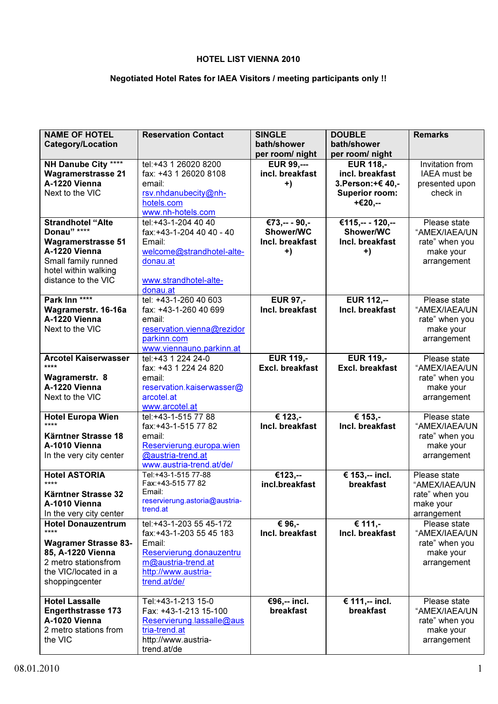# HOTEL LIST VIENNA 2010

# Negotiated Hotel Rates for IAEA Visitors / meeting participants only !!

| <b>NAME OF HOTEL</b>                             | <b>Reservation Contact</b>                      | <b>SINGLE</b>                        | <b>DOUBLE</b>                       | <b>Remarks</b>                  |
|--------------------------------------------------|-------------------------------------------------|--------------------------------------|-------------------------------------|---------------------------------|
| <b>Category/Location</b>                         |                                                 | bath/shower                          | bath/shower                         |                                 |
|                                                  |                                                 | per room/ night                      | per room/ night                     |                                 |
| NH Danube City ****<br><b>Wagramerstrasse 21</b> | tel:+43 1 26020 8200<br>fax: +43 1 26020 8108   | <b>EUR 99,---</b><br>incl. breakfast | <b>EUR 118,-</b><br>incl. breakfast | Invitation from<br>IAEA must be |
| A-1220 Vienna                                    | email:                                          | $+)$                                 | 3. Person: +€ 40,-                  | presented upon                  |
| Next to the VIC                                  | rsv.nhdanubecity@nh-                            |                                      | <b>Superior room:</b>               | check in                        |
|                                                  | hotels.com                                      |                                      | +€20,--                             |                                 |
|                                                  | www.nh-hotels.com                               |                                      |                                     |                                 |
| <b>Strandhotel "Alte</b>                         | tel:+43-1-204 40 40                             | €73,-- - 90,-                        | €115,-- - 120,--                    | Please state                    |
| Donau" ****                                      | fax:+43-1-204 40 40 - 40                        | Shower/WC                            | <b>Shower/WC</b>                    | "AMEX/IAEA/UN                   |
| <b>Wagramerstrasse 51</b>                        | Email:                                          | Incl. breakfast                      | Incl. breakfast                     | rate" when you                  |
| A-1220 Vienna                                    | welcome@strandhotel-alte-                       | +)                                   | $+)$                                | make your                       |
| Small family runned                              | donau.at                                        |                                      |                                     | arrangement                     |
| hotel within walking                             |                                                 |                                      |                                     |                                 |
| distance to the VIC                              | www.strandhotel-alte-                           |                                      |                                     |                                 |
|                                                  | donau.at                                        |                                      |                                     |                                 |
| Park Inn ****                                    | tel: +43-1-260 40 603                           | <b>EUR 97,-</b>                      | <b>EUR 112,--</b>                   | Please state                    |
| Wagramerstr. 16-16a                              | fax: +43-1-260 40 699                           | Incl. breakfast                      | Incl. breakfast                     | "AMEX/IAEA/UN                   |
| A-1220 Vienna<br>Next to the VIC                 | email:                                          |                                      |                                     | rate" when you                  |
|                                                  | reservation.vienna@rezidor<br>parkinn.com       |                                      |                                     | make your                       |
|                                                  | www.viennauno.parkinn.at                        |                                      |                                     | arrangement                     |
| <b>Arcotel Kaiserwasser</b>                      | tel: +43 1 224 24-0                             | <b>EUR 119,-</b>                     | <b>EUR 119,-</b>                    | Please state                    |
| ****                                             | fax: +43 1 224 24 820                           | <b>Excl. breakfast</b>               | <b>Excl. breakfast</b>              | "AMEX/IAEA/UN                   |
| Wagramerstr. 8                                   | email:                                          |                                      |                                     | rate" when you                  |
| A-1220 Vienna                                    | reservation.kaiserwasser@                       |                                      |                                     | make your                       |
| Next to the VIC                                  | arcotel.at                                      |                                      |                                     | arrangement                     |
|                                                  | www.arcotel.at                                  |                                      |                                     |                                 |
| <b>Hotel Europa Wien</b>                         | tel:+43-1-515 77 88                             | € 123,-                              | € 153,-                             | Please state                    |
| ****                                             | fax:+43-1-515 77 82                             | Incl. breakfast                      | Incl. breakfast                     | "AMEX/IAEA/UN                   |
| Kärntner Strasse 18                              | email:                                          |                                      |                                     | rate" when you                  |
| A-1010 Vienna                                    | Reservierung.europa.wien                        |                                      |                                     | make your                       |
| In the very city center                          | @austria-trend.at                               |                                      |                                     | arrangement                     |
| <b>Hotel ASTORIA</b>                             | www.austria-trend.at/de/<br>Tel:+43-1-515 77-88 | €123,--                              | € 153,-- incl.                      | Please state                    |
| ****                                             | Fax:+43-515 77 82                               | incl.breakfast                       | breakfast                           | "AMEX/IAEA/UN                   |
| Kärntner Strasse 32                              | Email:                                          |                                      |                                     | rate" when you                  |
| A-1010 Vienna                                    | reservierung.astoria@austria-                   |                                      |                                     | make your                       |
| In the very city center                          | trend.at                                        |                                      |                                     | arrangement                     |
| <b>Hotel Donauzentrum</b>                        | tel: +43-1-203 55 45-172                        | € 96.-                               | € 111,-                             | Please state                    |
| ****                                             | fax: +43-1-203 55 45 183                        | Incl. breakfast                      | Incl. breakfast                     | "AMEX/IAEA/UN                   |
| <b>Wagramer Strasse 83-</b>                      | Email:                                          |                                      |                                     | rate" when you                  |
| 85, A-1220 Vienna                                | Reservierung.donauzentru                        |                                      |                                     | make your                       |
| 2 metro stationsfrom                             | m@austria-trend.at                              |                                      |                                     | arrangement                     |
| the VIC/located in a                             | http://www.austria-                             |                                      |                                     |                                 |
| shoppingcenter                                   | trend.at/de/                                    |                                      |                                     |                                 |
| <b>Hotel Lassalle</b>                            | Tel:+43-1-213 15-0                              | €96,-- incl.                         | € 111,-- incl.                      | Please state                    |
| <b>Engerthstrasse 173</b>                        | Fax: +43-1-213 15-100                           | breakfast                            | breakfast                           | "AMEX/IAEA/UN                   |
| A-1020 Vienna                                    | Reservierung.lassalle@aus                       |                                      |                                     | rate" when you                  |
| 2 metro stations from                            | tria-trend.at                                   |                                      |                                     | make your                       |
| the VIC                                          | http://www.austria-                             |                                      |                                     | arrangement                     |
|                                                  | trend.at/de                                     |                                      |                                     |                                 |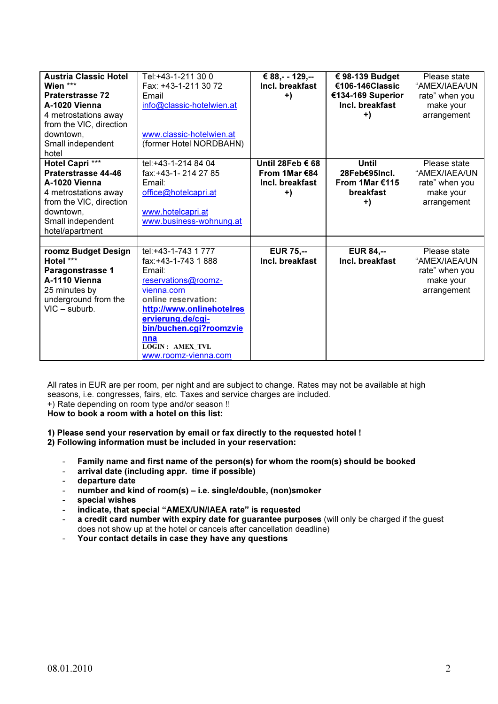| <b>Austria Classic Hotel</b><br>Wien ***<br><b>Praterstrasse 72</b><br>A-1020 Vienna<br>4 metrostations away<br>from the VIC, direction<br>downtown,<br>Small independent<br>hotel | Tel:+43-1-211 30 0<br>Fax: +43-1-211 30 72<br>Email<br>info@classic-hotelwien.at<br>www.classic-hotelwien.at<br>(former Hotel NORDBAHN)                                                                                                                 | € 88,- - 129,--<br>Incl. breakfast<br>$+)$                 | € 98-139 Budget<br>€106-146Classic<br>€134-169 Superior<br>Incl. breakfast<br>$+)$ | Please state<br>"AMEX/IAEA/UN<br>rate" when you<br>make your<br>arrangement |
|------------------------------------------------------------------------------------------------------------------------------------------------------------------------------------|---------------------------------------------------------------------------------------------------------------------------------------------------------------------------------------------------------------------------------------------------------|------------------------------------------------------------|------------------------------------------------------------------------------------|-----------------------------------------------------------------------------|
| Hotel Capri ***<br>Praterstrasse 44-46<br>A-1020 Vienna<br>4 metrostations away<br>from the VIC, direction<br>downtown.<br>Small independent<br>hotel/apartment                    | tel: +43-1-214 84 04<br>fax:+43-1-214 27 85<br>Email:<br>office@hotelcapri.at<br>www.hotelcapri.at<br>www.business-wohnung.at                                                                                                                           | Until 28Feb € 68<br>From 1Mar €84<br>Incl. breakfast<br>+) | Until<br>28Feb€95Incl.<br>From 1Mar €115<br>breakfast<br>+)                        | Please state<br>"AMEX/IAEA/UN<br>rate" when you<br>make your<br>arrangement |
| roomz Budget Design<br>Hotel ***<br>Paragonstrasse 1<br>A-1110 Vienna<br>25 minutes by<br>underground from the<br>$VIC - suburb.$                                                  | tel: +43-1-743 1 777<br>fax:+43-1-743 1 888<br>Email:<br>reservations@roomz-<br>vienna.com<br>online reservation:<br>http://www.onlinehotelres<br>ervierung.de/cgi-<br>bin/buchen.cgi?roomzvie<br>nna<br><b>LOGIN: AMEX TVL</b><br>www.roomz-vienna.com | <b>EUR 75,--</b><br>Incl. breakfast                        | <b>EUR 84,--</b><br>Incl. breakfast                                                | Please state<br>"AMEX/IAEA/UN<br>rate" when you<br>make your<br>arrangement |

All rates in EUR are per room, per night and are subject to change. Rates may not be available at high seasons, i.e. congresses, fairs, etc. Taxes and service charges are included. +) Rate depending on room type and/or season !!

How to book a room with a hotel on this list:

1) Please send your reservation by email or fax directly to the requested hotel !

2) Following information must be included in your reservation:

- Family name and first name of the person(s) for whom the room(s) should be booked<br>- arrival date (including annr time if nossible)
- $arrival$  date (including appr. time if possible)
- departure date
- number and kind of room(s) i.e. single/double, (non)smoker
- special wishes
- indicate, that special "AMEX/UN/IAEA rate" is requested
- a credit card number with expiry date for guarantee purposes (will only be charged if the guest does not show up at the hotel or cancels after cancellation deadline)
- Your contact details in case they have any questions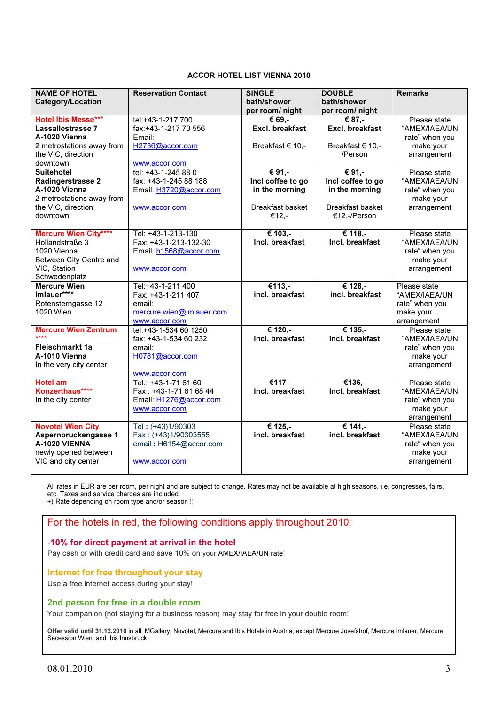#### ACCOR HOTEL LIST VIENNA 2010

| <b>NAME OF HOTEL</b>         | <b>Reservation Contact</b>           | <b>SINGLE</b>                  | <b>DOUBLE</b>                  | <b>Remarks</b> |
|------------------------------|--------------------------------------|--------------------------------|--------------------------------|----------------|
| <b>Category/Location</b>     |                                      | bath/shower<br>per room/ night | bath/shower<br>per room/ night |                |
| <b>Hotel Ibis Messe***</b>   | tel:+43-1-217 700                    | $\overline{\epsilon}$ 69.-     | € 87.-                         | Please state   |
| Lassallestrasse 7            | fax:+43-1-217 70 556                 | Excl. breakfast                | Excl. breakfast                | "AMEX/IAEA/UN  |
| A-1020 Vienna                | Email:                               |                                |                                | rate" when you |
| 2 metrostations away from    | H2736@accor.com                      | Breakfast € 10,-               | Breakfast € 10,-               |                |
| the VIC, direction           |                                      |                                | /Person                        | make your      |
| downtown                     |                                      |                                |                                | arrangement    |
| <b>Suitehotel</b>            | www.accor.com<br>tel: +43-1-245 88 0 | € 91,-                         | € 91,-                         | Please state   |
| Radingerstrasse 2            | fax: +43-1-245 88 188                | Incl coffee to go              | Incl coffee to go              | "AMEX/IAEA/UN  |
| A-1020 Vienna                |                                      | in the morning                 | in the morning                 | rate" when you |
| 2 metrostations away from    | Email: H3720@accor.com               |                                |                                | make your      |
| the VIC, direction           |                                      | <b>Breakfast basket</b>        | <b>Breakfast basket</b>        | arrangement    |
| downtown                     | www.accor.com                        | €12.-                          | €12,-/Person                   |                |
|                              |                                      |                                |                                |                |
| <b>Mercure Wien City****</b> | Tel: +43-1-213-130                   | € 103,-                        | € 118,-                        | Please state   |
| Hollandstraße 3              | Fax: +43-1-213-132-30                | Incl. breakfast                | Incl. breakfast                | "AMEX/IAEA/UN  |
| 1020 Vienna                  | Email: h1568@accor.com               |                                |                                | rate" when you |
| Between City Centre and      |                                      |                                |                                | make your      |
| VIC, Station                 | www.accor.com                        |                                |                                | arrangement    |
| Schwedenplatz                |                                      |                                |                                |                |
| <b>Mercure Wien</b>          | Tel:+43-1-211 400                    | $€113,-$                       | € 128,-                        | Please state   |
| Imlauer****                  | Fax: +43-1-211 407                   | incl. breakfast                | incl. breakfast                | "AMEX/IAEA/UN  |
| Rotensterngasse 12           | email:                               |                                |                                | rate" when you |
| 1020 Wien                    | mercure.wien@imlauer.com             |                                |                                | make your      |
|                              | www.accor.com                        |                                |                                | arrangement    |
| <b>Mercure Wien Zentrum</b>  | tel:+43-1-534 60 1250                | € 120,-                        | € 135,-                        | Please state   |
| بصعيف                        | fax: +43-1-534 60 232                | incl. breakfast                | incl. breakfast                | "AMEX/IAEA/UN  |
| Fleischmarkt 1a              | email:                               |                                |                                | rate" when you |
| A-1010 Vienna                | H0781@accor.com                      |                                |                                | make your      |
| In the very city center      |                                      |                                |                                | arrangement    |
|                              | www.accor.com                        |                                |                                |                |
| <b>Hotel am</b>              | Tel.: +43-1-71 61 60                 | €117-                          | €136,-                         | Please state   |
| Konzerthaus****              | Fax: +43-1-71 61 68 44               | Incl. breakfast                | Incl. breakfast                | "AMEX/IAEA/UN  |
| In the city center           | Email: H1276@accor.com               |                                |                                | rate" when you |
|                              | www.accor.com                        |                                |                                | make your      |
|                              |                                      |                                |                                | arrangement    |
| <b>Novotel Wien City</b>     | Tel: (+43)1/90303                    | € 125,-                        | € 141,-                        | Please state   |
| Aspernbruckengasse 1         | Fax: (+43)1/90303555                 | incl. breakfast                | incl. breakfast                | "AMEX/IAEA/UN  |
| A-1020 VIENNA                | email: H6154@accor.com               |                                |                                | rate" when you |
| newly opened between         |                                      |                                |                                | make your      |
| VIC and city center          | www.accor.com                        |                                |                                | arrangement    |
|                              |                                      |                                |                                |                |

All rates in EUR are per room, per night and are subject to change. Rates may not be available at high seasons, i.e. congresses, fairs, etc. Taxes and service charges are included.

+) Rate depending on room type and/or season !!

# For the hotels in red, the following conditions apply throughout 2010:

#### -10% for direct payment at arrival in the hotel

Pay cash or with credit card and save 10% on your AMEX/IAEA/UN rate!

## Internet for free throughout your stay

Use a free internet access during your stay!

## 2nd person for free in a double room

Your companion (not staying for a business reason) may stay for free in your double room!

Offer valid until 31.12.2010 in all MGallery, Novotel, Mercure and Ibis Hotels in Austria, except Mercure Josefshof, Mercure Imlauer, Mercure Secession Wien, and Ibis Innsbruck.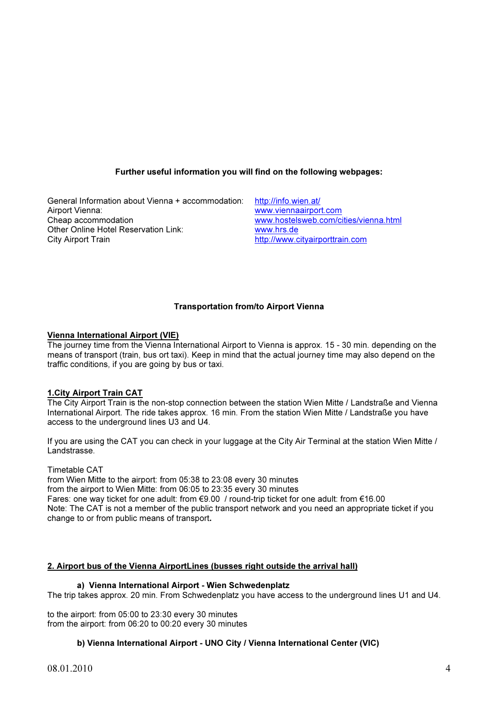# Further useful information you will find on the following webpages:

General Information about Vienna + accommodation: http://info.wien.at/<br>Airport Vienna: www.viennaairpor Airport Vienna:<br>
Cheap accommodation<br>
Cheap accommodation<br>
Cheap accommodation Other Online Hotel Reservation Link: www.hrs.de City Airport Train **http://www.cityairporttrain.com** 

www.hostelsweb.com/cities/vienna.html

# Transportation from/to Airport Vienna

## Vienna International Airport (VIE)

The journey time from the Vienna International Airport to Vienna is approx. 15 - 30 min. depending on the means of transport (train, bus ort taxi). Keep in mind that the actual journey time may also depend on the traffic conditions, if you are going by bus or taxi.

## 1.City Airport Train CAT

The City Airport Train is the non-stop connection between the station Wien Mitte / Landstraße and Vienna International Airport. The ride takes approx. 16 min. From the station Wien Mitte / Landstraße you have access to the underground lines U3 and U4.

If you are using the CAT you can check in your luggage at the City Air Terminal at the station Wien Mitte / Landstrasse.

Timetable CAT

from Wien Mitte to the airport: from 05:38 to 23:08 every 30 minutes from the airport to Wien Mitte: from 06:05 to 23:35 every 30 minutes Fares: one way ticket for one adult: from €9.00 / round-trip ticket for one adult: from €16.00 Note: The CAT is not a member of the public transport network and you need an appropriate ticket if you change to or from public means of transport.

## 2. Airport bus of the Vienna AirportLines (busses right outside the arrival hall)

#### a) Vienna International Airport - Wien Schwedenplatz

The trip takes approx. 20 min. From Schwedenplatz you have access to the underground lines U1 and U4.

to the airport: from 05:00 to 23:30 every 30 minutes from the airport: from 06:20 to 00:20 every 30 minutes

## b) Vienna International Airport - UNO City / Vienna International Center (VIC)